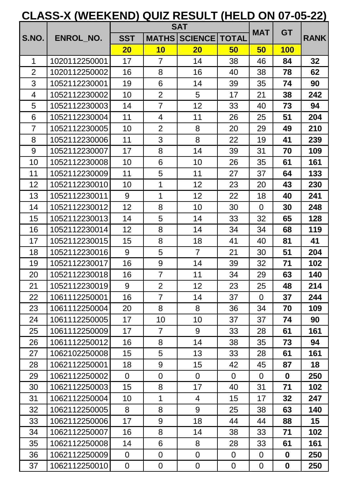|                |               |                |                | <b>SAT</b>      |                | <b>MAT</b>     | <b>GT</b>        |             |
|----------------|---------------|----------------|----------------|-----------------|----------------|----------------|------------------|-------------|
| S.NO.          | ENROL NO.     | <b>SST</b>     | <b>MATHS</b>   | <b>SCIENCE</b>  | <b>TOTAL</b>   |                |                  | <b>RANK</b> |
|                |               | 20             | 10             | 20              | 50             | 50             | <b>100</b>       |             |
| 1              | 1020112250001 | 17             | $\overline{7}$ | 14              | 38             | 46             | 84               | 32          |
| $\overline{2}$ | 1020112250002 | 16             | 8              | 16              | 40             | 38             | 78               | 62          |
| 3              | 1052112230001 | 19             | 6              | 14              | 39             | 35             | 74               | 90          |
| 4              | 1052112230002 | 10             | $\overline{2}$ | 5               | 17             | 21             | 38               | 242         |
| 5              | 1052112230003 | 14             | $\overline{7}$ | 12              | 33             | 40             | 73               | 94          |
| 6              | 1052112230004 | 11             | 4              | 11              | 26             | 25             | 51               | 204         |
| $\overline{7}$ | 1052112230005 | 10             | $\overline{2}$ | 8               | 20             | 29             | 49               | 210         |
| 8              | 1052112230006 | 11             | 3              | 8               | 22             | 19             | 41               | 239         |
| 9              | 1052112230007 | 17             | 8              | 14              | 39             | 31             | 70               | 109         |
| 10             | 1052112230008 | 10             | 6              | 10              | 26             | 35             | 61               | 161         |
| 11             | 1052112230009 | 11             | 5              | 11              | 27             | 37             | 64               | 133         |
| 12             | 1052112230010 | 10             | $\mathbf{1}$   | 12              | 23             | 20             | 43               | 230         |
| 13             | 1052112230011 | 9              | $\mathbf{1}$   | 12              | 22             | 18             | 40               | 241         |
| 14             | 1052112230012 | 12             | 8              | 10              | 30             | $\overline{0}$ | 30               | 248         |
| 15             | 1052112230013 | 14             | 5              | 14              | 33             | 32             | 65               | 128         |
| 16             | 1052112230014 | 12             | 8              | 14              | 34             | 34             | 68               | 119         |
| 17             | 1052112230015 | 15             | 8              | 18              | 41             | 40             | 81               | 41          |
| 18             | 1052112230016 | 9              | 5              | $\overline{7}$  | 21             | 30             | 51               | 204         |
| 19             | 1052112230017 | 16             | 9              | 14              | 39             | 32             | 71               | 102         |
| 20             | 1052112230018 | 16             | $\overline{7}$ | 11              | 34             | 29             | 63               | 140         |
| 21             | 1052112230019 | 9              | $\overline{2}$ | 12 <sub>2</sub> | 23             | 25             | 48               | 214         |
| 22             | 1061112250001 | 16             | $\overline{7}$ | 14              | 37             | $\overline{0}$ | 37               | 244         |
| 23             | 1061112250004 | 20             | 8              | 8               | 36             | 34             | 70               | 109         |
| 24             | 1061112250005 | 17             | 10             | 10              | 37             | 37             | 74               | 90          |
| 25             | 1061112250009 | 17             | $\overline{7}$ | 9               | 33             | 28             | 61               | 161         |
| 26             | 1061112250012 | 16             | 8              | 14              | 38             | 35             | 73               | 94          |
| 27             | 1062102250008 | 15             | 5              | 13              | 33             | 28             | 61               | 161         |
| 28             | 1062112250001 | 18             | 9              | 15              | 42             | 45             | 87               | 18          |
| 29             | 1062112250002 | $\overline{0}$ | $\overline{0}$ | $\overline{0}$  | $\overline{0}$ | $\overline{0}$ | $\mathbf 0$      | 250         |
| 30             | 1062112250003 | 15             | 8              | 17              | 40             | 31             | 71               | 102         |
| 31             | 1062112250004 | 10             | $\mathbf{1}$   | $\overline{4}$  | 15             | 17             | 32               | 247         |
| 32             | 1062112250005 | 8              | 8              | 9               | 25             | 38             | 63               | 140         |
| 33             | 1062112250006 | 17             | 9              | 18              | 44             | 44             | 88               | 15          |
| 34             | 1062112250007 | 16             | 8              | 14              | 38             | 33             | 71               | 102         |
| 35             | 1062112250008 | 14             | 6              | 8               | 28             | 33             | 61               | 161         |
| 36             | 1062112250009 | $\overline{0}$ | $\overline{0}$ | $\overline{0}$  | $\overline{0}$ | $\overline{0}$ | $\mathbf 0$      | 250         |
| 37             | 1062112250010 | $\mathbf 0$    | $\mathbf 0$    | $\mathbf 0$     | $\mathbf 0$    | $\mathbf 0$    | $\boldsymbol{0}$ | 250         |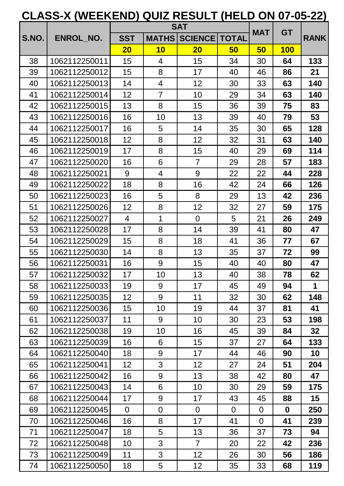|       |                  |                 |                | <b>SAT</b>           |                | <b>MAT</b>     | <b>GT</b>   |             |
|-------|------------------|-----------------|----------------|----------------------|----------------|----------------|-------------|-------------|
| S.NO. | <b>ENROL NO.</b> | <b>SST</b>      | <b>MATHS</b>   | <b>SCIENCE TOTAL</b> |                |                |             | <b>RANK</b> |
|       |                  | 20              | 10             | <b>20</b>            | 50             | 50             | <b>100</b>  |             |
| 38    | 1062112250011    | 15              | $\overline{4}$ | 15                   | 34             | 30             | 64          | 133         |
| 39    | 1062112250012    | 15              | 8              | 17                   | 40             | 46             | 86          | 21          |
| 40    | 1062112250013    | 14              | 4              | 12                   | 30             | 33             | 63          | 140         |
| 41    | 1062112250014    | 12              | $\overline{7}$ | 10                   | 29             | 34             | 63          | 140         |
| 42    | 1062112250015    | 13              | 8              | 15                   | 36             | 39             | 75          | 83          |
| 43    | 1062112250016    | 16              | 10             | 13                   | 39             | 40             | 79          | 53          |
| 44    | 1062112250017    | 16              | 5              | 14                   | 35             | 30             | 65          | 128         |
| 45    | 1062112250018    | 12 <sub>2</sub> | 8              | 12                   | 32             | 31             | 63          | 140         |
| 46    | 1062112250019    | 17              | 8              | 15                   | 40             | 29             | 69          | 114         |
| 47    | 1062112250020    | 16              | 6              | $\overline{7}$       | 29             | 28             | 57          | 183         |
| 48    | 1062112250021    | 9               | $\overline{4}$ | 9                    | 22             | 22             | 44          | 228         |
| 49    | 1062112250022    | 18              | 8              | 16                   | 42             | 24             | 66          | 126         |
| 50    | 1062112250023    | 16              | 5              | 8                    | 29             | 13             | 42          | 236         |
| 51    | 1062112250026    | 12 <sub>2</sub> | 8              | 12                   | 32             | 27             | 59          | 175         |
| 52    | 1062112250027    | $\overline{4}$  | 1              | $\Omega$             | 5              | 21             | 26          | 249         |
| 53    | 1062112250028    | 17              | 8              | 14                   | 39             | 41             | 80          | 47          |
| 54    | 1062112250029    | 15              | 8              | 18                   | 41             | 36             | 77          | 67          |
| 55    | 1062112250030    | 14              | 8              | 13                   | 35             | 37             | 72          | 99          |
| 56    | 1062112250031    | 16              | 9              | 15                   | 40             | 40             | 80          | 47          |
| 57    | 1062112250032    | 17              | 10             | 13                   | 40             | 38             | 78          | 62          |
| 58    | 1062112250033    | 19              | 9              | 17                   | 45             | 49             | 94          | 1           |
| 59    | 1062112250035    | 12 <sub>2</sub> | 9              | 11                   | 32             | 30             | 62          | 148         |
| 60    | 1062112250036    | 15 <sub>1</sub> | 10             | 19                   | 44             | 37             | 81          | 41          |
| 61    | 1062112250037    | 11              | 9              | 10                   | 30             | 23             | 53          | 198         |
| 62    | 1062112250038    | 19              | 10             | 16                   | 45             | 39             | 84          | 32          |
| 63    | 1062112250039    | 16              | 6              | 15 <sub>1</sub>      | 37             | 27             | 64          | 133         |
| 64    | 1062112250040    | 18              | 9              | 17                   | 44             | 46             | 90          | 10          |
| 65    | 1062112250041    | 12 <sub>2</sub> | 3              | 12 <sub>2</sub>      | 27             | 24             | 51          | 204         |
| 66    | 1062112250042    | 16              | 9              | 13                   | 38             | 42             | 80          | 47          |
| 67    | 1062112250043    | 14              | 6              | 10                   | 30             | 29             | 59          | 175         |
| 68    | 1062112250044    | 17              | 9              | 17                   | 43             | 45             | 88          | 15          |
| 69    | 1062112250045    | $\overline{0}$  | $\mathbf 0$    | $\overline{0}$       | $\overline{0}$ | $\mathbf 0$    | $\mathbf 0$ | 250         |
| 70    | 1062112250046    | 16              | 8              | 17                   | 41             | $\overline{0}$ | 41          | 239         |
| 71    | 1062112250047    | 18              | 5              | 13                   | 36             | 37             | 73          | 94          |
| 72    | 1062112250048    | 10              | 3              | $\overline{7}$       | 20             | 22             | 42          | 236         |
| 73    | 1062112250049    | 11              | 3              | 12 <sub>2</sub>      | 26             | 30             | 56          | 186         |
| 74    | 1062112250050    | 18              | 5              | 12 <sub>2</sub>      | 35             | 33             | 68          | 119         |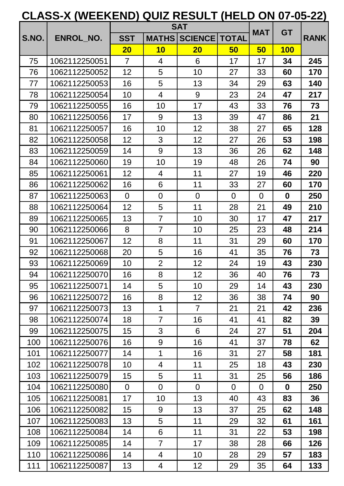|       |                  |                 |                | <b>SAT</b>           |                | <b>MAT</b>     | <b>GT</b>   |             |
|-------|------------------|-----------------|----------------|----------------------|----------------|----------------|-------------|-------------|
| S.NO. | <b>ENROL_NO.</b> | <b>SST</b>      | <b>MATHS</b>   | <b>SCIENCE TOTAL</b> |                |                |             | <b>RANK</b> |
|       |                  | 20              | 10             | <b>20</b>            | 50             | 50             | <b>100</b>  |             |
| 75    | 1062112250051    | $\overline{7}$  | 4              | 6                    | 17             | 17             | 34          | 245         |
| 76    | 1062112250052    | 12              | 5              | 10                   | 27             | 33             | 60          | 170         |
| 77    | 1062112250053    | 16              | 5              | 13                   | 34             | 29             | 63          | 140         |
| 78    | 1062112250054    | 10              | 4              | 9                    | 23             | 24             | 47          | 217         |
| 79    | 1062112250055    | 16              | 10             | 17                   | 43             | 33             | 76          | 73          |
| 80    | 1062112250056    | 17              | 9              | 13                   | 39             | 47             | 86          | 21          |
| 81    | 1062112250057    | 16              | 10             | 12                   | 38             | 27             | 65          | 128         |
| 82    | 1062112250058    | 12 <sub>2</sub> | 3              | 12                   | 27             | 26             | 53          | 198         |
| 83    | 1062112250059    | 14              | 9              | 13                   | 36             | 26             | 62          | 148         |
| 84    | 1062112250060    | 19              | 10             | 19                   | 48             | 26             | 74          | 90          |
| 85    | 1062112250061    | 12              | 4              | 11                   | 27             | 19             | 46          | 220         |
| 86    | 1062112250062    | 16              | 6              | 11                   | 33             | 27             | 60          | 170         |
| 87    | 1062112250063    | $\overline{0}$  | $\overline{0}$ | $\overline{0}$       | $\overline{0}$ | $\overline{0}$ | $\mathbf 0$ | 250         |
| 88    | 1062112250064    | 12 <sub>2</sub> | 5              | 11                   | 28             | 21             | 49          | 210         |
| 89    | 1062112250065    | 13              | $\overline{7}$ | 10                   | 30             | 17             | 47          | 217         |
| 90    | 1062112250066    | 8               | $\overline{7}$ | 10                   | 25             | 23             | 48          | 214         |
| 91    | 1062112250067    | 12              | 8              | 11                   | 31             | 29             | 60          | 170         |
| 92    | 1062112250068    | 20              | 5              | 16                   | 41             | 35             | 76          | 73          |
| 93    | 1062112250069    | 10              | $\overline{2}$ | 12                   | 24             | 19             | 43          | 230         |
| 94    | 1062112250070    | 16              | 8              | 12                   | 36             | 40             | 76          | 73          |
| 95    | 1062112250071    | 14              | 5              | 10                   | 29             | 14             | 43          | 230         |
| 96    | 1062112250072    | 16              | 8              | 12 <sub>2</sub>      | 36             | 38             | 74          | 90          |
| 97    | 1062112250073    | 13 <sub>2</sub> | $\mathbf 1$    | $\overline{7}$       | 21             | 21             | 42          | 236         |
| 98    | 1062112250074    | 18              | $\overline{7}$ | 16                   | 41             | 41             | 82          | 39          |
| 99    | 1062112250075    | 15 <sub>2</sub> | 3              | 6                    | 24             | 27             | 51          | 204         |
| 100   | 1062112250076    | 16              | 9              | 16                   | 41             | 37             | 78          | 62          |
| 101   | 1062112250077    | 14              | $\mathbf 1$    | 16                   | 31             | 27             | 58          | 181         |
| 102   | 1062112250078    | 10              | 4              | 11                   | 25             | 18             | 43          | 230         |
| 103   | 1062112250079    | 15 <sub>1</sub> | 5              | 11                   | 31             | 25             | 56          | 186         |
| 104   | 1062112250080    | $\overline{0}$  | $\overline{0}$ | $\overline{0}$       | $\overline{0}$ | 0              | $\mathbf 0$ | 250         |
| 105   | 1062112250081    | 17              | 10             | 13                   | 40             | 43             | 83          | 36          |
| 106   | 1062112250082    | 15 <sub>1</sub> | 9              | 13                   | 37             | 25             | 62          | 148         |
| 107   | 1062112250083    | 13              | 5              | 11                   | 29             | 32             | 61          | 161         |
| 108   | 1062112250084    | 14              | 6              | 11                   | 31             | 22             | 53          | 198         |
| 109   | 1062112250085    | 14              | $\overline{7}$ | 17                   | 38             | 28             | 66          | 126         |
| 110   | 1062112250086    | 14              | 4              | 10                   | 28             | 29             | 57          | 183         |
| 111   | 1062112250087    | 13              | 4              | 12 <sub>2</sub>      | 29             | 35             | 64          | 133         |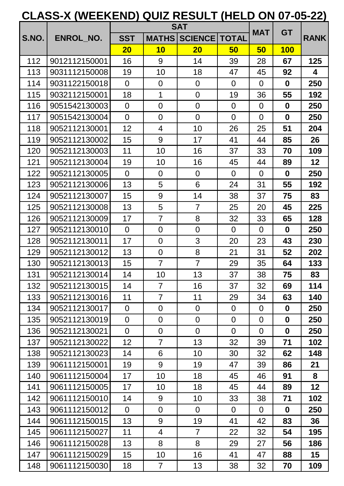|       |               |                  |                | <b>SAT</b>     |                | <b>MAT</b>     | <b>GT</b>        |             |
|-------|---------------|------------------|----------------|----------------|----------------|----------------|------------------|-------------|
| S.NO. | ENROL_NO.     | <b>SST</b>       | <b>MATHS</b>   | <b>SCIENCE</b> | <b>TOTAL</b>   |                |                  | <b>RANK</b> |
|       |               | 20               | 10             | 20             | 50             | 50             | <b>100</b>       |             |
| 112   | 9012112150001 | 16               | 9              | 14             | 39             | 28             | 67               | 125         |
| 113   | 9031112150008 | 19               | 10             | 18             | 47             | 45             | 92               | 4           |
| 114   | 9031122150018 | $\overline{0}$   | $\overline{0}$ | $\overline{0}$ | $\overline{0}$ | $\Omega$       | $\mathbf 0$      | 250         |
| 115   | 9032112150001 | 18               | $\mathbf{1}$   | $\overline{0}$ | 19             | 36             | 55               | 192         |
| 116   | 9051542130003 | $\overline{0}$   | $\overline{0}$ | $\overline{0}$ | $\overline{0}$ | $\overline{0}$ | $\boldsymbol{0}$ | 250         |
| 117   | 9051542130004 | $\overline{0}$   | $\overline{0}$ | $\overline{0}$ | $\overline{0}$ | $\overline{0}$ | $\boldsymbol{0}$ | 250         |
| 118   | 9052112130001 | 12               | $\overline{4}$ | 10             | 26             | 25             | 51               | 204         |
| 119   | 9052112130002 | 15               | 9              | 17             | 41             | 44             | 85               | 26          |
| 120   | 9052112130003 | 11               | 10             | 16             | 37             | 33             | 70               | 109         |
| 121   | 9052112130004 | 19               | 10             | 16             | 45             | 44             | 89               | 12          |
| 122   | 9052112130005 | $\overline{0}$   | $\overline{0}$ | $\overline{0}$ | $\overline{0}$ | $\Omega$       | $\mathbf 0$      | 250         |
| 123   | 9052112130006 | 13               | 5              | 6              | 24             | 31             | 55               | 192         |
| 124   | 9052112130007 | 15               | 9              | 14             | 38             | 37             | 75               | 83          |
| 125   | 9052112130008 | 13               | 5              | $\overline{7}$ | 25             | 20             | 45               | 225         |
| 126   | 9052112130009 | 17               | $\overline{7}$ | 8              | 32             | 33             | 65               | 128         |
| 127   | 9052112130010 | $\overline{0}$   | $\mathbf 0$    | $\overline{0}$ | $\overline{0}$ | $\overline{0}$ | $\mathbf 0$      | 250         |
| 128   | 9052112130011 | 17               | $\overline{0}$ | 3              | 20             | 23             | 43               | 230         |
| 129   | 9052112130012 | 13               | $\overline{0}$ | 8              | 21             | 31             | 52               | 202         |
| 130   | 9052112130013 | 15               | $\overline{7}$ | $\overline{7}$ | 29             | 35             | 64               | 133         |
| 131   | 9052112130014 | 14               | 10             | 13             | 37             | 38             | 75               | 83          |
| 132   | 9052112130015 | 14               | $\overline{7}$ | 16             | 37             | 32             | 69               | 114         |
| 133   | 9052112130016 | 11               | $\overline{7}$ | 11             | 29             | 34             | 63               | 140         |
| 134   | 9052112130017 | $\overline{0}$   | $\overline{0}$ | $\overline{0}$ | $\overline{0}$ | $\overline{0}$ | $\mathbf 0$      | 250         |
| 135   | 9052112130019 | $\overline{0}$   | $\mathbf 0$    | $\overline{0}$ | $\overline{0}$ | $\overline{0}$ | $\boldsymbol{0}$ | 250         |
| 136   | 9052112130021 | $\overline{0}$   | $\overline{0}$ | $\overline{0}$ | $\overline{0}$ | $\overline{0}$ | $\boldsymbol{0}$ | 250         |
| 137   | 9052112130022 | 12 <sub>2</sub>  | $\overline{7}$ | 13             | 32             | 39             | 71               | 102         |
| 138   | 9052112130023 | 14               | 6              | 10             | 30             | 32             | 62               | 148         |
| 139   | 9061112150001 | 19               | 9              | 19             | 47             | 39             | 86               | 21          |
| 140   | 9061112150004 | 17               | 10             | 18             | 45             | 46             | 91               | 8           |
| 141   | 9061112150005 | 17               | 10             | 18             | 45             | 44             | 89               | 12          |
| 142   | 9061112150010 | 14               | 9              | 10             | 33             | 38             | 71               | 102         |
| 143   | 9061112150012 | $\overline{0}$   | $\mathbf 0$    | $\overline{0}$ | $\overline{0}$ | $\overline{0}$ | $\mathbf 0$      | 250         |
| 144   | 9061112150015 | 13               | 9              | 19             | 41             | 42             | 83               | 36          |
| 145   | 9061112150027 | 11               | 4              | $\overline{7}$ | 22             | 32             | 54               | 195         |
| 146   | 9061112150028 | 13 <sub>2</sub>  | 8              | 8              | 29             | 27             | 56               | 186         |
| 147   | 9061112150029 | 15 <sub>15</sub> | 10             | 16             | 41             | 47             | 88               | 15          |
| 148   | 9061112150030 | 18               | $\overline{7}$ | 13             | 38             | 32             | 70               | 109         |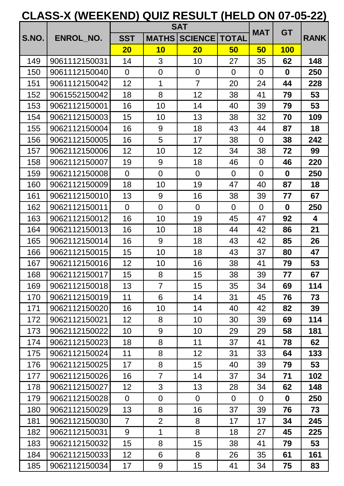|       |               |                 |                | <b>SAT</b>      |                | <b>MAT</b>     | <b>GT</b>   |             |
|-------|---------------|-----------------|----------------|-----------------|----------------|----------------|-------------|-------------|
| S.NO. | ENROL_NO.     | <b>SST</b>      | <b>MATHS</b>   | <b>SCIENCE</b>  | <b>TOTAL</b>   |                |             | <b>RANK</b> |
|       |               | 20              | 10             | 20              | 50             | 50             | <b>100</b>  |             |
| 149   | 9061112150031 | 14              | 3              | 10              | 27             | 35             | 62          | 148         |
| 150   | 9061112150040 | $\Omega$        | $\overline{0}$ | $\overline{0}$  | $\overline{0}$ | $\overline{0}$ | $\mathbf 0$ | 250         |
| 151   | 9061112150042 | 12              | $\mathbf{1}$   | $\overline{7}$  | 20             | 24             | 44          | 228         |
| 152   | 9061552150042 | 18              | 8              | 12              | 38             | 41             | 79          | 53          |
| 153   | 9062112150001 | 16              | 10             | 14              | 40             | 39             | 79          | 53          |
| 154   | 9062112150003 | 15              | 10             | 13              | 38             | 32             | 70          | 109         |
| 155   | 9062112150004 | 16              | 9              | 18              | 43             | 44             | 87          | 18          |
| 156   | 9062112150005 | 16              | 5              | 17              | 38             | $\overline{0}$ | 38          | 242         |
| 157   | 9062112150006 | 12              | 10             | 12              | 34             | 38             | 72          | 99          |
| 158   | 9062112150007 | 19              | 9              | 18              | 46             | $\overline{0}$ | 46          | 220         |
| 159   | 9062112150008 | $\Omega$        | $\overline{0}$ | $\overline{0}$  | $\overline{0}$ | $\overline{0}$ | $\bf{0}$    | 250         |
| 160   | 9062112150009 | 18              | 10             | 19              | 47             | 40             | 87          | 18          |
| 161   | 9062112150010 | 13              | 9              | 16              | 38             | 39             | 77          | 67          |
| 162   | 9062112150011 | $\Omega$        | $\overline{0}$ | $\overline{0}$  | $\overline{0}$ | $\overline{0}$ | $\mathbf 0$ | 250         |
| 163   | 9062112150012 | 16              | 10             | 19              | 45             | 47             | 92          | 4           |
| 164   | 9062112150013 | 16              | 10             | 18              | 44             | 42             | 86          | 21          |
| 165   | 9062112150014 | 16              | 9              | 18              | 43             | 42             | 85          | 26          |
| 166   | 9062112150015 | 15              | 10             | 18              | 43             | 37             | 80          | 47          |
| 167   | 9062112150016 | 12              | 10             | 16              | 38             | 41             | 79          | 53          |
| 168   | 9062112150017 | 15              | 8              | 15              | 38             | 39             | 77          | 67          |
| 169   | 9062112150018 | 13              | $\overline{7}$ | 15 <sub>1</sub> | 35             | 34             | 69          | 114         |
| 170   | 9062112150019 | 11              | 6              | 14              | 31             | 45             | 76          | 73          |
| 171   | 9062112150020 | 16              | 10             | 14              | 40             | 42             | 82          | 39          |
| 172   | 9062112150021 | 12              | 8              | 10              | 30             | 39             | 69          | 114         |
| 173   | 9062112150022 | 10              | 9              | 10              | 29             | 29             | 58          | 181         |
| 174   | 9062112150023 | 18              | 8              | 11              | 37             | 41             | 78          | 62          |
| 175   | 9062112150024 | 11              | 8              | 12 <sub>2</sub> | 31             | 33             | 64          | 133         |
| 176   | 9062112150025 | 17              | 8              | 15              | 40             | 39             | 79          | 53          |
| 177   | 9062112150026 | 16              | $\overline{7}$ | 14              | 37             | 34             | 71          | 102         |
| 178   | 9062112150027 | 12 <sub>2</sub> | 3              | 13              | 28             | 34             | 62          | 148         |
| 179   | 9062112150028 | $\overline{0}$  | $\overline{0}$ | $\overline{0}$  | $\overline{0}$ | $\overline{0}$ | $\mathbf 0$ | 250         |
| 180   | 9062112150029 | 13              | 8              | 16              | 37             | 39             | 76          | 73          |
| 181   | 9062112150030 | $\overline{7}$  | $\overline{2}$ | 8               | 17             | 17             | 34          | 245         |
| 182   | 9062112150031 | 9               | $\mathbf{1}$   | 8               | 18             | 27             | 45          | 225         |
| 183   | 9062112150032 | 15              | 8              | 15              | 38             | 41             | 79          | 53          |
| 184   | 9062112150033 | 12              | 6              | 8               | 26             | 35             | 61          | 161         |
| 185   | 9062112150034 | 17              | 9              | 15              | 41             | 34             | 75          | 83          |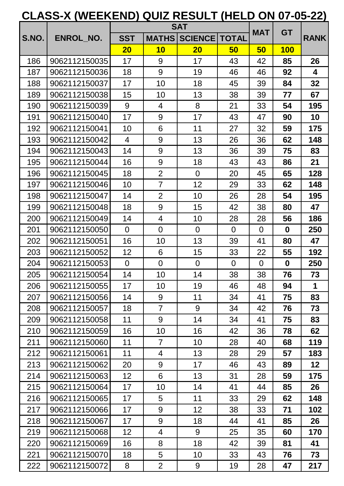|       |                  |                 |                | <b>SAT</b>      |                | <b>MAT</b>     | <b>GT</b>   |             |
|-------|------------------|-----------------|----------------|-----------------|----------------|----------------|-------------|-------------|
| S.NO. | <b>ENROL NO.</b> | <b>SST</b>      | <b>MATHS</b>   | <b>SCIENCE</b>  | <b>TOTAL</b>   |                |             | <b>RANK</b> |
|       |                  | 20              | 10             | 20              | 50             | 50             | <b>100</b>  |             |
| 186   | 9062112150035    | 17              | 9              | 17              | 43             | 42             | 85          | 26          |
| 187   | 9062112150036    | 18              | 9              | 19              | 46             | 46             | 92          | 4           |
| 188   | 9062112150037    | 17              | 10             | 18              | 45             | 39             | 84          | 32          |
| 189   | 9062112150038    | 15              | 10             | 13              | 38             | 39             | 77          | 67          |
| 190   | 9062112150039    | 9               | $\overline{4}$ | 8               | 21             | 33             | 54          | 195         |
| 191   | 9062112150040    | 17              | 9              | 17              | 43             | 47             | 90          | 10          |
| 192   | 9062112150041    | 10              | 6              | 11              | 27             | 32             | 59          | 175         |
| 193   | 9062112150042    | 4               | 9              | 13              | 26             | 36             | 62          | 148         |
| 194   | 9062112150043    | 14              | 9              | 13              | 36             | 39             | 75          | 83          |
| 195   | 9062112150044    | 16              | 9              | 18              | 43             | 43             | 86          | 21          |
| 196   | 9062112150045    | 18              | $\overline{2}$ | $\overline{0}$  | 20             | 45             | 65          | 128         |
| 197   | 9062112150046    | 10              | $\overline{7}$ | 12              | 29             | 33             | 62          | 148         |
| 198   | 9062112150047    | 14              | $\overline{2}$ | 10              | 26             | 28             | 54          | 195         |
| 199   | 9062112150048    | 18              | 9              | 15              | 42             | 38             | 80          | 47          |
| 200   | 9062112150049    | 14              | 4              | 10              | 28             | 28             | 56          | 186         |
| 201   | 9062112150050    | $\overline{0}$  | $\overline{0}$ | $\mathbf 0$     | $\overline{0}$ | $\overline{0}$ | $\mathbf 0$ | 250         |
| 202   | 9062112150051    | 16              | 10             | 13              | 39             | 41             | 80          | 47          |
| 203   | 9062112150052    | 12              | 6              | 15              | 33             | 22             | 55          | 192         |
| 204   | 9062112150053    | $\overline{0}$  | $\overline{0}$ | $\overline{0}$  | $\overline{0}$ | $\overline{0}$ | $\bf{0}$    | 250         |
| 205   | 9062112150054    | 14              | 10             | 14              | 38             | 38             | 76          | 73          |
| 206   | 9062112150055    | 17              | 10             | 19              | 46             | 48             | 94          | 1           |
| 207   | 9062112150056    | 14              | 9              | 11              | 34             | 41             | 75          | 83          |
| 208   | 9062112150057    | 18              | $\overline{7}$ | 9               | 34             | 42             | 76          | 73          |
| 209   | 9062112150058    | 11              | 9              | 14              | 34             | 41             | 75          | 83          |
| 210   | 9062112150059    | 16              | 10             | 16              | 42             | 36             | 78          | 62          |
| 211   | 9062112150060    | 11              | $\overline{7}$ | 10              | 28             | 40             | 68          | 119         |
| 212   | 9062112150061    | 11              | 4              | 13              | 28             | 29             | 57          | 183         |
| 213   | 9062112150062    | 20              | 9              | 17              | 46             | 43             | 89          | 12          |
| 214   | 9062112150063    | 12              | 6              | 13              | 31             | 28             | 59          | 175         |
| 215   | 9062112150064    | 17              | 10             | 14              | 41             | 44             | 85          | 26          |
| 216   | 9062112150065    | 17              | 5              | 11              | 33             | 29             | 62          | 148         |
| 217   | 9062112150066    | 17              | 9              | 12 <sub>2</sub> | 38             | 33             | 71          | 102         |
| 218   | 9062112150067    | 17              | 9              | 18              | 44             | 41             | 85          | 26          |
| 219   | 9062112150068    | 12 <sub>2</sub> | 4              | 9               | 25             | 35             | 60          | 170         |
| 220   | 9062112150069    | 16              | 8              | 18              | 42             | 39             | 81          | 41          |
| 221   | 9062112150070    | 18              | 5              | 10              | 33             | 43             | 76          | 73          |
| 222   | 9062112150072    | 8               | $\overline{2}$ | 9               | 19             | 28             | 47          | 217         |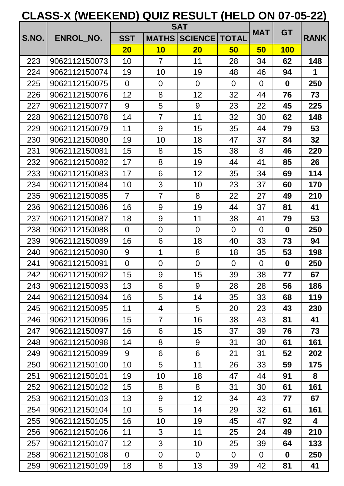|       |               |                 |                | <b>SAT</b>      |                | <b>MAT</b>     | <b>GT</b>   |                         |
|-------|---------------|-----------------|----------------|-----------------|----------------|----------------|-------------|-------------------------|
| S.NO. | ENROL_NO.     | <b>SST</b>      | <b>MATHS</b>   | <b>SCIENCE</b>  | <b>TOTAL</b>   |                |             | <b>RANK</b>             |
|       |               | 20              | 10             | 20              | 50             | 50             | <b>100</b>  |                         |
| 223   | 9062112150073 | 10              | $\overline{7}$ | 11              | 28             | 34             | 62          | 148                     |
| 224   | 9062112150074 | 19              | 10             | 19              | 48             | 46             | 94          | 1                       |
| 225   | 9062112150075 | $\Omega$        | $\overline{0}$ | $\overline{0}$  | $\overline{0}$ | $\overline{0}$ | $\mathbf 0$ | 250                     |
| 226   | 9062112150076 | 12              | 8              | 12              | 32             | 44             | 76          | 73                      |
| 227   | 9062112150077 | 9               | 5              | 9               | 23             | 22             | 45          | 225                     |
| 228   | 9062112150078 | 14              | $\overline{7}$ | 11              | 32             | 30             | 62          | 148                     |
| 229   | 9062112150079 | 11              | 9              | 15              | 35             | 44             | 79          | 53                      |
| 230   | 9062112150080 | 19              | 10             | 18              | 47             | 37             | 84          | 32                      |
| 231   | 9062112150081 | 15              | 8              | 15              | 38             | 8              | 46          | 220                     |
| 232   | 9062112150082 | 17              | 8              | 19              | 44             | 41             | 85          | 26                      |
| 233   | 9062112150083 | 17              | 6              | 12              | 35             | 34             | 69          | 114                     |
| 234   | 9062112150084 | 10              | 3              | 10              | 23             | 37             | 60          | 170                     |
| 235   | 9062112150085 | $\overline{7}$  | $\overline{7}$ | 8               | 22             | 27             | 49          | 210                     |
| 236   | 9062112150086 | 16              | 9              | 19              | 44             | 37             | 81          | 41                      |
| 237   | 9062112150087 | 18              | 9              | 11              | 38             | 41             | 79          | 53                      |
| 238   | 9062112150088 | $\overline{0}$  | $\overline{0}$ | $\overline{0}$  | $\overline{0}$ | $\overline{0}$ | $\mathbf 0$ | 250                     |
| 239   | 9062112150089 | 16              | 6              | 18              | 40             | 33             | 73          | 94                      |
| 240   | 9062112150090 | 9               | $\mathbf{1}$   | 8               | 18             | 35             | 53          | 198                     |
| 241   | 9062112150091 | $\overline{0}$  | $\overline{0}$ | $\overline{0}$  | $\overline{0}$ | $\overline{0}$ | $\mathbf 0$ | 250                     |
| 242   | 9062112150092 | 15              | 9              | 15              | 39             | 38             | 77          | 67                      |
| 243   | 9062112150093 | 13              | 6              | 9               | 28             | 28             | 56          | 186                     |
| 244   | 9062112150094 | 16              | 5              | 14              | 35             | 33             | 68          | 119                     |
| 245   | 9062112150095 | 11              | 4              | 5               | 20             | 23             | 43          | 230                     |
| 246   | 9062112150096 | 15              | $\overline{7}$ | 16              | 38             | 43             | 81          | 41                      |
| 247   | 9062112150097 | 16              | 6              | 15              | 37             | 39             | 76          | 73                      |
| 248   | 9062112150098 | 14              | 8              | 9               | 31             | 30             | 61          | 161                     |
| 249   | 9062112150099 | 9               | 6              | 6               | 21             | 31             | 52          | 202                     |
| 250   | 9062112150100 | 10              | 5              | 11              | 26             | 33             | 59          | 175                     |
| 251   | 9062112150101 | 19              | 10             | 18              | 47             | 44             | 91          | 8                       |
| 252   | 9062112150102 | 15              | 8              | 8               | 31             | 30             | 61          | 161                     |
| 253   | 9062112150103 | 13              | 9              | 12 <sub>2</sub> | 34             | 43             | 77          | 67                      |
| 254   | 9062112150104 | 10              | 5              | 14              | 29             | 32             | 61          | 161                     |
| 255   | 9062112150105 | 16              | 10             | 19              | 45             | 47             | 92          | $\overline{\mathbf{4}}$ |
| 256   | 9062112150106 | 11              | 3              | 11              | 25             | 24             | 49          | 210                     |
| 257   | 9062112150107 | 12 <sub>2</sub> | 3              | 10              | 25             | 39             | 64          | 133                     |
| 258   | 9062112150108 | $\overline{0}$  | $\overline{0}$ | $\overline{0}$  | $\overline{0}$ | $\overline{0}$ | $\mathbf 0$ | 250                     |
| 259   | 9062112150109 | 18              | 8              | 13              | 39             | 42             | 81          | 41                      |